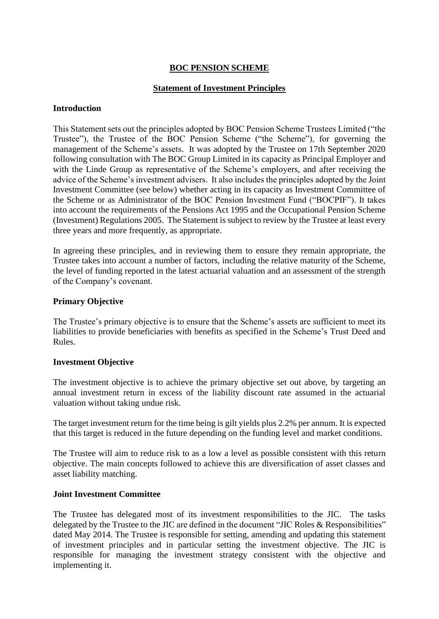## **BOC PENSION SCHEME**

## **Statement of Investment Principles**

#### **Introduction**

This Statement sets out the principles adopted by BOC Pension Scheme Trustees Limited ("the Trustee"), the Trustee of the BOC Pension Scheme ("the Scheme"), for governing the management of the Scheme's assets. It was adopted by the Trustee on 17th September 2020 following consultation with The BOC Group Limited in its capacity as Principal Employer and with the Linde Group as representative of the Scheme's employers, and after receiving the advice of the Scheme's investment advisers. It also includes the principles adopted by the Joint Investment Committee (see below) whether acting in its capacity as Investment Committee of the Scheme or as Administrator of the BOC Pension Investment Fund ("BOCPIF"). It takes into account the requirements of the Pensions Act 1995 and the Occupational Pension Scheme (Investment) Regulations 2005. The Statement is subject to review by the Trustee at least every three years and more frequently, as appropriate.

In agreeing these principles, and in reviewing them to ensure they remain appropriate, the Trustee takes into account a number of factors, including the relative maturity of the Scheme, the level of funding reported in the latest actuarial valuation and an assessment of the strength of the Company's covenant.

### **Primary Objective**

The Trustee's primary objective is to ensure that the Scheme's assets are sufficient to meet its liabilities to provide beneficiaries with benefits as specified in the Scheme's Trust Deed and Rules.

### **Investment Objective**

The investment objective is to achieve the primary objective set out above, by targeting an annual investment return in excess of the liability discount rate assumed in the actuarial valuation without taking undue risk.

The target investment return for the time being is gilt yields plus 2.2% per annum. It is expected that this target is reduced in the future depending on the funding level and market conditions.

The Trustee will aim to reduce risk to as a low a level as possible consistent with this return objective. The main concepts followed to achieve this are diversification of asset classes and asset liability matching.

### **Joint Investment Committee**

The Trustee has delegated most of its investment responsibilities to the JIC. The tasks delegated by the Trustee to the JIC are defined in the document "JIC Roles & Responsibilities" dated May 2014. The Trustee is responsible for setting, amending and updating this statement of investment principles and in particular setting the investment objective. The JIC is responsible for managing the investment strategy consistent with the objective and implementing it.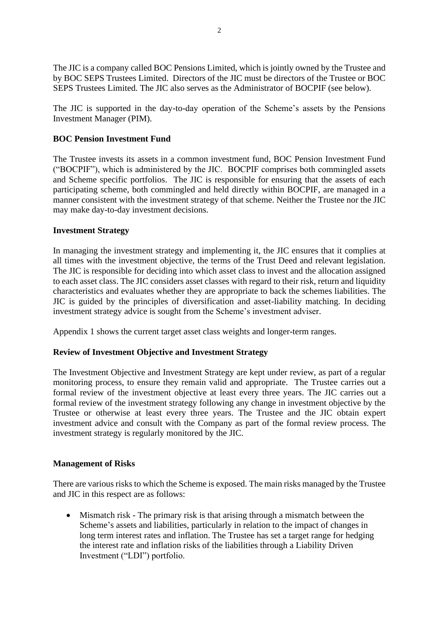The JIC is a company called BOC Pensions Limited, which is jointly owned by the Trustee and by BOC SEPS Trustees Limited. Directors of the JIC must be directors of the Trustee or BOC SEPS Trustees Limited. The JIC also serves as the Administrator of BOCPIF (see below).

The JIC is supported in the day-to-day operation of the Scheme's assets by the Pensions Investment Manager (PIM).

## **BOC Pension Investment Fund**

The Trustee invests its assets in a common investment fund, BOC Pension Investment Fund ("BOCPIF"), which is administered by the JIC. BOCPIF comprises both commingled assets and Scheme specific portfolios. The JIC is responsible for ensuring that the assets of each participating scheme, both commingled and held directly within BOCPIF, are managed in a manner consistent with the investment strategy of that scheme. Neither the Trustee nor the JIC may make day-to-day investment decisions.

### **Investment Strategy**

In managing the investment strategy and implementing it, the JIC ensures that it complies at all times with the investment objective, the terms of the Trust Deed and relevant legislation. The JIC is responsible for deciding into which asset class to invest and the allocation assigned to each asset class. The JIC considers asset classes with regard to their risk, return and liquidity characteristics and evaluates whether they are appropriate to back the schemes liabilities. The JIC is guided by the principles of diversification and asset-liability matching. In deciding investment strategy advice is sought from the Scheme's investment adviser.

Appendix 1 shows the current target asset class weights and longer-term ranges.

## **Review of Investment Objective and Investment Strategy**

The Investment Objective and Investment Strategy are kept under review, as part of a regular monitoring process, to ensure they remain valid and appropriate. The Trustee carries out a formal review of the investment objective at least every three years. The JIC carries out a formal review of the investment strategy following any change in investment objective by the Trustee or otherwise at least every three years. The Trustee and the JIC obtain expert investment advice and consult with the Company as part of the formal review process. The investment strategy is regularly monitored by the JIC.

### **Management of Risks**

There are various risks to which the Scheme is exposed. The main risks managed by the Trustee and JIC in this respect are as follows:

• Mismatch risk - The primary risk is that arising through a mismatch between the Scheme's assets and liabilities, particularly in relation to the impact of changes in long term interest rates and inflation. The Trustee has set a target range for hedging the interest rate and inflation risks of the liabilities through a Liability Driven Investment ("LDI") portfolio.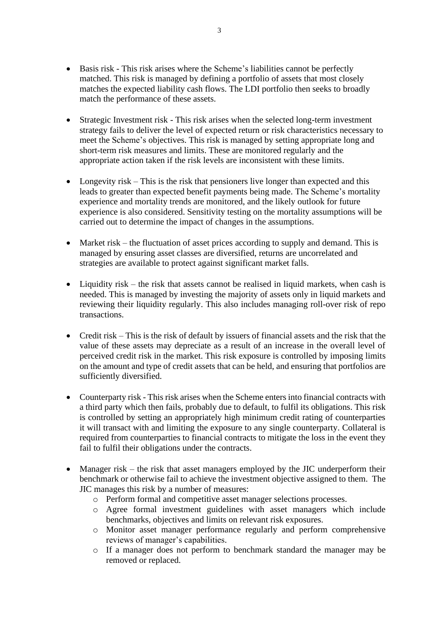- Basis risk This risk arises where the Scheme's liabilities cannot be perfectly matched. This risk is managed by defining a portfolio of assets that most closely matches the expected liability cash flows. The LDI portfolio then seeks to broadly match the performance of these assets.
- Strategic Investment risk This risk arises when the selected long-term investment strategy fails to deliver the level of expected return or risk characteristics necessary to meet the Scheme's objectives. This risk is managed by setting appropriate long and short-term risk measures and limits. These are monitored regularly and the appropriate action taken if the risk levels are inconsistent with these limits.
- Longevity risk This is the risk that pensioners live longer than expected and this leads to greater than expected benefit payments being made. The Scheme's mortality experience and mortality trends are monitored, and the likely outlook for future experience is also considered. Sensitivity testing on the mortality assumptions will be carried out to determine the impact of changes in the assumptions.
- Market risk the fluctuation of asset prices according to supply and demand. This is managed by ensuring asset classes are diversified, returns are uncorrelated and strategies are available to protect against significant market falls.
- Liquidity risk the risk that assets cannot be realised in liquid markets, when cash is needed. This is managed by investing the majority of assets only in liquid markets and reviewing their liquidity regularly. This also includes managing roll-over risk of repo transactions.
- Credit risk This is the risk of default by issuers of financial assets and the risk that the value of these assets may depreciate as a result of an increase in the overall level of perceived credit risk in the market. This risk exposure is controlled by imposing limits on the amount and type of credit assets that can be held, and ensuring that portfolios are sufficiently diversified.
- Counterparty risk This risk arises when the Scheme enters into financial contracts with a third party which then fails, probably due to default, to fulfil its obligations. This risk is controlled by setting an appropriately high minimum credit rating of counterparties it will transact with and limiting the exposure to any single counterparty. Collateral is required from counterparties to financial contracts to mitigate the loss in the event they fail to fulfil their obligations under the contracts.
- Manager risk the risk that asset managers employed by the JIC underperform their benchmark or otherwise fail to achieve the investment objective assigned to them. The JIC manages this risk by a number of measures:
	- o Perform formal and competitive asset manager selections processes.
	- o Agree formal investment guidelines with asset managers which include benchmarks, objectives and limits on relevant risk exposures.
	- o Monitor asset manager performance regularly and perform comprehensive reviews of manager's capabilities.
	- o If a manager does not perform to benchmark standard the manager may be removed or replaced.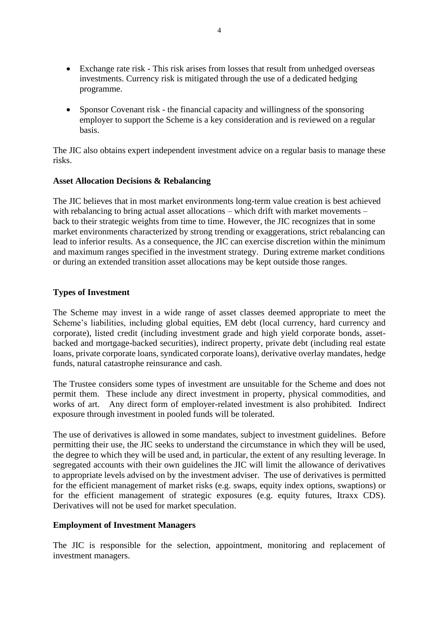- Exchange rate risk This risk arises from losses that result from unhedged overseas investments. Currency risk is mitigated through the use of a dedicated hedging programme.
- Sponsor Covenant risk the financial capacity and willingness of the sponsoring employer to support the Scheme is a key consideration and is reviewed on a regular basis.

The JIC also obtains expert independent investment advice on a regular basis to manage these risks.

### **Asset Allocation Decisions & Rebalancing**

The JIC believes that in most market environments long-term value creation is best achieved with rebalancing to bring actual asset allocations – which drift with market movements – back to their strategic weights from time to time. However, the JIC recognizes that in some market environments characterized by strong trending or exaggerations, strict rebalancing can lead to inferior results. As a consequence, the JIC can exercise discretion within the minimum and maximum ranges specified in the investment strategy. During extreme market conditions or during an extended transition asset allocations may be kept outside those ranges.

## **Types of Investment**

The Scheme may invest in a wide range of asset classes deemed appropriate to meet the Scheme's liabilities, including global equities, EM debt (local currency, hard currency and corporate), listed credit (including investment grade and high yield corporate bonds, assetbacked and mortgage-backed securities), indirect property, private debt (including real estate loans, private corporate loans, syndicated corporate loans), derivative overlay mandates, hedge funds, natural catastrophe reinsurance and cash.

The Trustee considers some types of investment are unsuitable for the Scheme and does not permit them. These include any direct investment in property, physical commodities, and works of art. Any direct form of employer-related investment is also prohibited. Indirect exposure through investment in pooled funds will be tolerated.

The use of derivatives is allowed in some mandates, subject to investment guidelines. Before permitting their use, the JIC seeks to understand the circumstance in which they will be used, the degree to which they will be used and, in particular, the extent of any resulting leverage. In segregated accounts with their own guidelines the JIC will limit the allowance of derivatives to appropriate levels advised on by the investment adviser. The use of derivatives is permitted for the efficient management of market risks (e.g. swaps, equity index options, swaptions) or for the efficient management of strategic exposures (e.g. equity futures, Itraxx CDS). Derivatives will not be used for market speculation.

### **Employment of Investment Managers**

The JIC is responsible for the selection, appointment, monitoring and replacement of investment managers.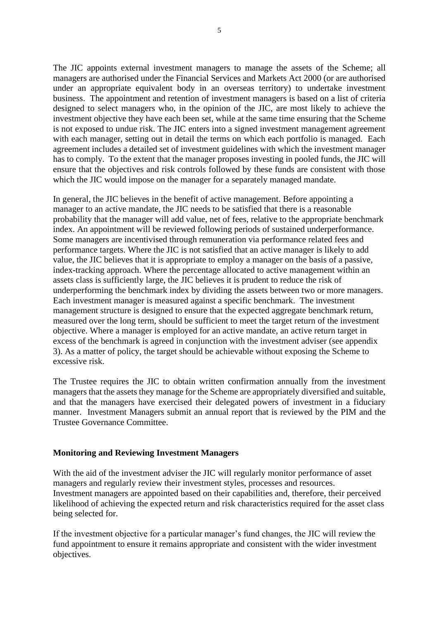The JIC appoints external investment managers to manage the assets of the Scheme; all managers are authorised under the Financial Services and Markets Act 2000 (or are authorised under an appropriate equivalent body in an overseas territory) to undertake investment business. The appointment and retention of investment managers is based on a list of criteria designed to select managers who, in the opinion of the JIC, are most likely to achieve the investment objective they have each been set, while at the same time ensuring that the Scheme is not exposed to undue risk. The JIC enters into a signed investment management agreement with each manager, setting out in detail the terms on which each portfolio is managed. Each agreement includes a detailed set of investment guidelines with which the investment manager has to comply. To the extent that the manager proposes investing in pooled funds, the JIC will ensure that the objectives and risk controls followed by these funds are consistent with those which the JIC would impose on the manager for a separately managed mandate.

In general, the JIC believes in the benefit of active management. Before appointing a manager to an active mandate, the JIC needs to be satisfied that there is a reasonable probability that the manager will add value, net of fees, relative to the appropriate benchmark index. An appointment will be reviewed following periods of sustained underperformance. Some managers are incentivised through remuneration via performance related fees and performance targets. Where the JIC is not satisfied that an active manager is likely to add value, the JIC believes that it is appropriate to employ a manager on the basis of a passive, index-tracking approach. Where the percentage allocated to active management within an assets class is sufficiently large, the JIC believes it is prudent to reduce the risk of underperforming the benchmark index by dividing the assets between two or more managers. Each investment manager is measured against a specific benchmark. The investment management structure is designed to ensure that the expected aggregate benchmark return, measured over the long term, should be sufficient to meet the target return of the investment objective. Where a manager is employed for an active mandate, an active return target in excess of the benchmark is agreed in conjunction with the investment adviser (see appendix 3). As a matter of policy, the target should be achievable without exposing the Scheme to excessive risk.

The Trustee requires the JIC to obtain written confirmation annually from the investment managers that the assets they manage for the Scheme are appropriately diversified and suitable, and that the managers have exercised their delegated powers of investment in a fiduciary manner. Investment Managers submit an annual report that is reviewed by the PIM and the Trustee Governance Committee.

### **Monitoring and Reviewing Investment Managers**

With the aid of the investment adviser the JIC will regularly monitor performance of asset managers and regularly review their investment styles, processes and resources. Investment managers are appointed based on their capabilities and, therefore, their perceived likelihood of achieving the expected return and risk characteristics required for the asset class being selected for.

If the investment objective for a particular manager's fund changes, the JIC will review the fund appointment to ensure it remains appropriate and consistent with the wider investment objectives.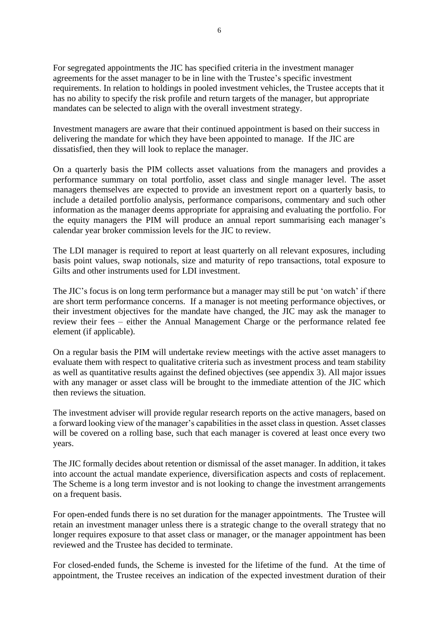For segregated appointments the JIC has specified criteria in the investment manager agreements for the asset manager to be in line with the Trustee's specific investment requirements. In relation to holdings in pooled investment vehicles, the Trustee accepts that it has no ability to specify the risk profile and return targets of the manager, but appropriate mandates can be selected to align with the overall investment strategy.

Investment managers are aware that their continued appointment is based on their success in delivering the mandate for which they have been appointed to manage. If the JIC are dissatisfied, then they will look to replace the manager.

On a quarterly basis the PIM collects asset valuations from the managers and provides a performance summary on total portfolio, asset class and single manager level. The asset managers themselves are expected to provide an investment report on a quarterly basis, to include a detailed portfolio analysis, performance comparisons, commentary and such other information as the manager deems appropriate for appraising and evaluating the portfolio. For the equity managers the PIM will produce an annual report summarising each manager's calendar year broker commission levels for the JIC to review.

The LDI manager is required to report at least quarterly on all relevant exposures, including basis point values, swap notionals, size and maturity of repo transactions, total exposure to Gilts and other instruments used for LDI investment.

The JIC's focus is on long term performance but a manager may still be put 'on watch' if there are short term performance concerns. If a manager is not meeting performance objectives, or their investment objectives for the mandate have changed, the JIC may ask the manager to review their fees – either the Annual Management Charge or the performance related fee element (if applicable).

On a regular basis the PIM will undertake review meetings with the active asset managers to evaluate them with respect to qualitative criteria such as investment process and team stability as well as quantitative results against the defined objectives (see appendix 3). All major issues with any manager or asset class will be brought to the immediate attention of the JIC which then reviews the situation.

The investment adviser will provide regular research reports on the active managers, based on a forward looking view of the manager's capabilities in the asset class in question. Asset classes will be covered on a rolling base, such that each manager is covered at least once every two years.

The JIC formally decides about retention or dismissal of the asset manager. In addition, it takes into account the actual mandate experience, diversification aspects and costs of replacement. The Scheme is a long term investor and is not looking to change the investment arrangements on a frequent basis.

For open-ended funds there is no set duration for the manager appointments. The Trustee will retain an investment manager unless there is a strategic change to the overall strategy that no longer requires exposure to that asset class or manager, or the manager appointment has been reviewed and the Trustee has decided to terminate.

For closed-ended funds, the Scheme is invested for the lifetime of the fund. At the time of appointment, the Trustee receives an indication of the expected investment duration of their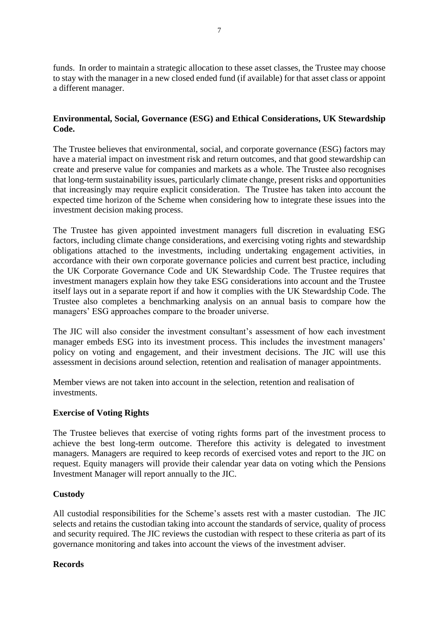funds. In order to maintain a strategic allocation to these asset classes, the Trustee may choose to stay with the manager in a new closed ended fund (if available) for that asset class or appoint a different manager.

## **Environmental, Social, Governance (ESG) and Ethical Considerations, UK Stewardship Code.**

The Trustee believes that environmental, social, and corporate governance (ESG) factors may have a material impact on investment risk and return outcomes, and that good stewardship can create and preserve value for companies and markets as a whole. The Trustee also recognises that long-term sustainability issues, particularly climate change, present risks and opportunities that increasingly may require explicit consideration. The Trustee has taken into account the expected time horizon of the Scheme when considering how to integrate these issues into the investment decision making process.

The Trustee has given appointed investment managers full discretion in evaluating ESG factors, including climate change considerations, and exercising voting rights and stewardship obligations attached to the investments, including undertaking engagement activities, in accordance with their own corporate governance policies and current best practice, including the UK Corporate Governance Code and UK Stewardship Code. The Trustee requires that investment managers explain how they take ESG considerations into account and the Trustee itself lays out in a separate report if and how it complies with the UK Stewardship Code. The Trustee also completes a benchmarking analysis on an annual basis to compare how the managers' ESG approaches compare to the broader universe.

The JIC will also consider the investment consultant's assessment of how each investment manager embeds ESG into its investment process. This includes the investment managers' policy on voting and engagement, and their investment decisions. The JIC will use this assessment in decisions around selection, retention and realisation of manager appointments.

Member views are not taken into account in the selection, retention and realisation of investments.

## **Exercise of Voting Rights**

The Trustee believes that exercise of voting rights forms part of the investment process to achieve the best long-term outcome. Therefore this activity is delegated to investment managers. Managers are required to keep records of exercised votes and report to the JIC on request. Equity managers will provide their calendar year data on voting which the Pensions Investment Manager will report annually to the JIC.

## **Custody**

All custodial responsibilities for the Scheme's assets rest with a master custodian. The JIC selects and retains the custodian taking into account the standards of service, quality of process and security required. The JIC reviews the custodian with respect to these criteria as part of its governance monitoring and takes into account the views of the investment adviser.

### **Records**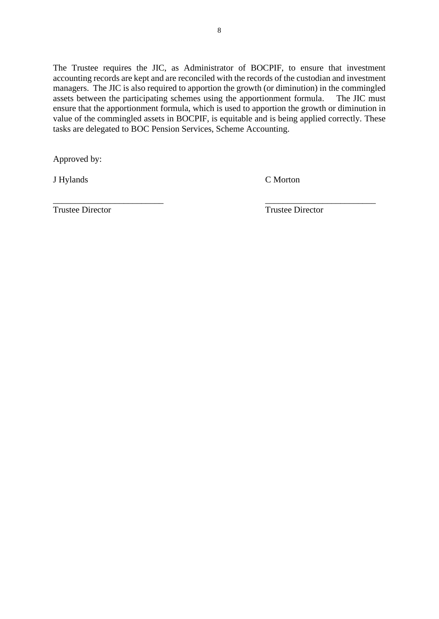The Trustee requires the JIC, as Administrator of BOCPIF, to ensure that investment accounting records are kept and are reconciled with the records of the custodian and investment managers. The JIC is also required to apportion the growth (or diminution) in the commingled assets between the participating schemes using the apportionment formula. The JIC must ensure that the apportionment formula, which is used to apportion the growth or diminution in value of the commingled assets in BOCPIF, is equitable and is being applied correctly. These tasks are delegated to BOC Pension Services, Scheme Accounting.

Approved by:

J Hylands C Morton

Trustee Director Trustee Director

\_\_\_\_\_\_\_\_\_\_\_\_\_\_\_\_\_\_\_\_\_\_\_\_\_ \_\_\_\_\_\_\_\_\_\_\_\_\_\_\_\_\_\_\_\_\_\_\_\_\_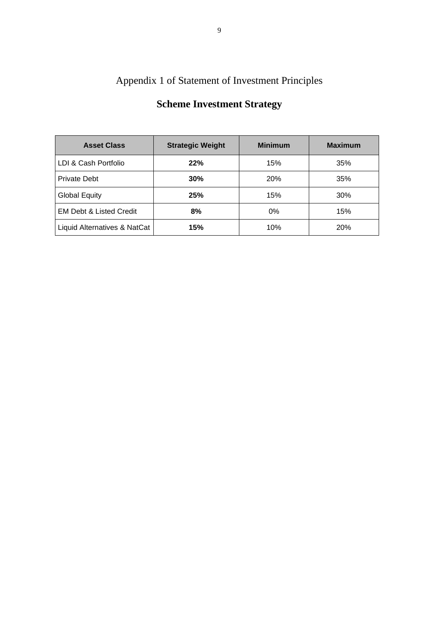# Appendix 1 of Statement of Investment Principles

| <b>Asset Class</b>                 | <b>Strategic Weight</b> | <b>Minimum</b> | <b>Maximum</b> |
|------------------------------------|-------------------------|----------------|----------------|
| LDI & Cash Portfolio               | 22%                     | 15%            | 35%            |
| <b>Private Debt</b>                | 30%                     | 20%            | 35%            |
| <b>Global Equity</b>               | 25%                     | 15%            | 30%            |
| <b>EM Debt &amp; Listed Credit</b> | 8%                      | $0\%$          | 15%            |
| Liquid Alternatives & NatCat       | 15%                     | 10%            | 20%            |

# **Scheme Investment Strategy**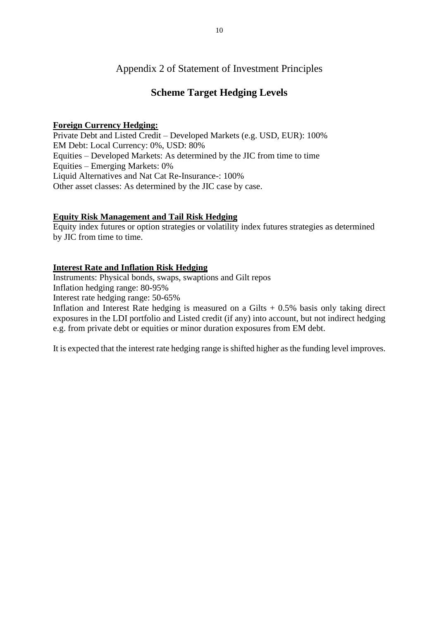## Appendix 2 of Statement of Investment Principles

## **Scheme Target Hedging Levels**

## **Foreign Currency Hedging:**

Private Debt and Listed Credit – Developed Markets (e.g. USD, EUR): 100% EM Debt: Local Currency: 0%, USD: 80% Equities – Developed Markets: As determined by the JIC from time to time Equities – Emerging Markets: 0% Liquid Alternatives and Nat Cat Re-Insurance-: 100% Other asset classes: As determined by the JIC case by case.

## **Equity Risk Management and Tail Risk Hedging**

Equity index futures or option strategies or volatility index futures strategies as determined by JIC from time to time.

## **Interest Rate and Inflation Risk Hedging**

Instruments: Physical bonds, swaps, swaptions and Gilt repos

Inflation hedging range: 80-95%

Interest rate hedging range: 50-65%

Inflation and Interest Rate hedging is measured on a Gilts  $+0.5\%$  basis only taking direct exposures in the LDI portfolio and Listed credit (if any) into account, but not indirect hedging e.g. from private debt or equities or minor duration exposures from EM debt.

It is expected that the interest rate hedging range is shifted higher as the funding level improves.